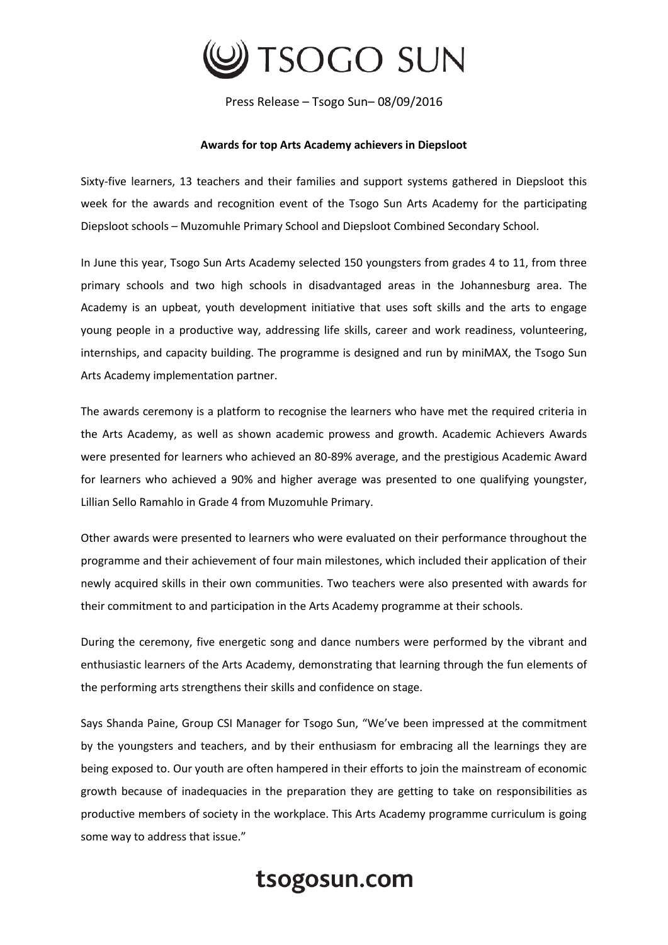

Press Release – Tsogo Sun– 08/09/2016

## **Awards for top Arts Academy achievers in Diepsloot**

Sixty-five learners, 13 teachers and their families and support systems gathered in Diepsloot this week for the awards and recognition event of the Tsogo Sun Arts Academy for the participating Diepsloot schools – Muzomuhle Primary School and Diepsloot Combined Secondary School.

In June this year, Tsogo Sun Arts Academy selected 150 youngsters from grades 4 to 11, from three primary schools and two high schools in disadvantaged areas in the Johannesburg area. The Academy is an upbeat, youth development initiative that uses soft skills and the arts to engage young people in a productive way, addressing life skills, career and work readiness, volunteering, internships, and capacity building. The programme is designed and run by miniMAX, the Tsogo Sun Arts Academy implementation partner.

The awards ceremony is a platform to recognise the learners who have met the required criteria in the Arts Academy, as well as shown academic prowess and growth. Academic Achievers Awards were presented for learners who achieved an 80-89% average, and the prestigious Academic Award for learners who achieved a 90% and higher average was presented to one qualifying youngster, Lillian Sello Ramahlo in Grade 4 from Muzomuhle Primary.

Other awards were presented to learners who were evaluated on their performance throughout the programme and their achievement of four main milestones, which included their application of their newly acquired skills in their own communities. Two teachers were also presented with awards for their commitment to and participation in the Arts Academy programme at their schools.

During the ceremony, five energetic song and dance numbers were performed by the vibrant and enthusiastic learners of the Arts Academy, demonstrating that learning through the fun elements of the performing arts strengthens their skills and confidence on stage.

Says Shanda Paine, Group CSI Manager for Tsogo Sun, "We've been impressed at the commitment by the youngsters and teachers, and by their enthusiasm for embracing all the learnings they are being exposed to. Our youth are often hampered in their efforts to join the mainstream of economic growth because of inadequacies in the preparation they are getting to take on responsibilities as productive members of society in the workplace. This Arts Academy programme curriculum is going some way to address that issue."

## tsogosun.com